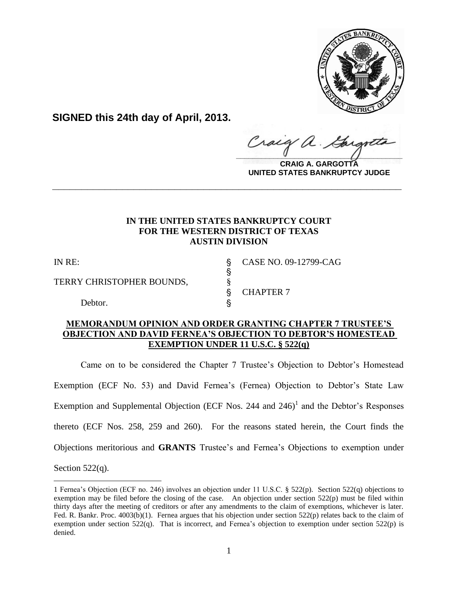

**SIGNED this 24th day of April, 2013.**

Craig  $\frac{1}{2}$ 

**CRAIG A. GARGOTTA UNITED STATES BANKRUPTCY JUDGE**

# **IN THE UNITED STATES BANKRUPTCY COURT FOR THE WESTERN DISTRICT OF TEXAS AUSTIN DIVISION**

**\_\_\_\_\_\_\_\_\_\_\_\_\_\_\_\_\_\_\_\_\_\_\_\_\_\_\_\_\_\_\_\_\_\_\_\_\_\_\_\_\_\_\_\_\_\_\_\_\_\_\_\_\_\_\_\_\_\_\_\_**

 $\S$ 

TERRY CHRISTOPHER BOUNDS,  $§$ 

Debtor.

IN RE: ' CASE NO. 09-12799-CAG

§ CHAPTER 7

# **MEMORANDUM OPINION AND ORDER GRANTING CHAPTER 7 TRUSTEE'S OBJECTION AND DAVID FERNEA'S OBJECTION TO DEBTOR'S HOMESTEAD EXEMPTION UNDER 11 U.S.C. § 522(q)**

Came on to be considered the Chapter 7 Trustee's Objection to Debtor's Homestead Exemption (ECF No. 53) and David Fernea's (Fernea) Objection to Debtor's State Law Exemption and Supplemental Objection (ECF Nos. 244 and  $246)^1$  and the Debtor's Responses thereto (ECF Nos. 258, 259 and 260). For the reasons stated herein, the Court finds the Objections meritorious and **GRANTS** Trustee's and Fernea's Objections to exemption under

Section  $522(q)$ .

<sup>1</sup> Fernea's Objection (ECF no. 246) involves an objection under 11 U.S.C. § 522(p). Section 522(q) objections to exemption may be filed before the closing of the case. An objection under section  $522(p)$  must be filed within thirty days after the meeting of creditors or after any amendments to the claim of exemptions, whichever is later. Fed. R. Bankr. Proc. 4003(b)(1). Fernea argues that his objection under section 522(p) relates back to the claim of exemption under section 522(q). That is incorrect, and Fernea's objection to exemption under section 522(p) is denied.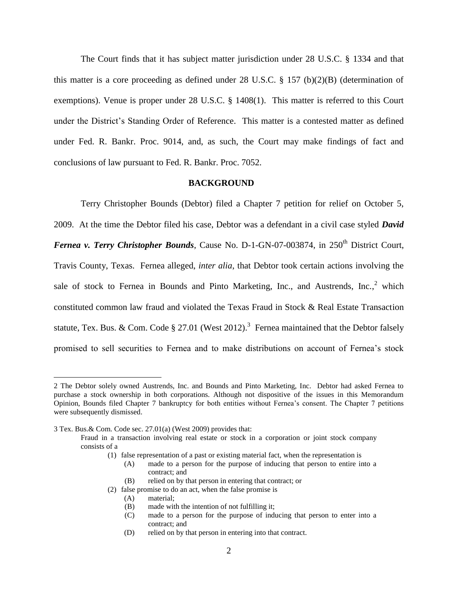The Court finds that it has subject matter jurisdiction under 28 U.S.C. § 1334 and that this matter is a core proceeding as defined under 28 U.S.C. § 157 (b)(2)(B) (determination of exemptions). Venue is proper under 28 U.S.C. § 1408(1). This matter is referred to this Court under the District's Standing Order of Reference. This matter is a contested matter as defined under Fed. R. Bankr. Proc. 9014, and, as such, the Court may make findings of fact and conclusions of law pursuant to Fed. R. Bankr. Proc. 7052.

#### **BACKGROUND**

Terry Christopher Bounds (Debtor) filed a Chapter 7 petition for relief on October 5, 2009. At the time the Debtor filed his case, Debtor was a defendant in a civil case styled *David Fernea v. Terry Christopher Bounds*, Cause No. D-1-GN-07-003874, in 250<sup>th</sup> District Court, Travis County, Texas. Fernea alleged, *inter alia*, that Debtor took certain actions involving the sale of stock to Fernea in Bounds and Pinto Marketing, Inc., and Austrends, Inc.,  $2$  which constituted common law fraud and violated the Texas Fraud in Stock & Real Estate Transaction statute, Tex. Bus. & Com. Code § 27.01 (West 2012).<sup>3</sup> Fernea maintained that the Debtor falsely promised to sell securities to Fernea and to make distributions on account of Fernea's stock

- (B) relied on by that person in entering that contract; or
- (2) false promise to do an act, when the false promise is
	- (A) material;
	- (B) made with the intention of not fulfilling it;
	- (C) made to a person for the purpose of inducing that person to enter into a contract; and
	- (D) relied on by that person in entering into that contract.

<sup>2</sup> The Debtor solely owned Austrends, Inc. and Bounds and Pinto Marketing, Inc. Debtor had asked Fernea to purchase a stock ownership in both corporations. Although not dispositive of the issues in this Memorandum Opinion, Bounds filed Chapter 7 bankruptcy for both entities without Fernea's consent. The Chapter 7 petitions were subsequently dismissed.

<sup>3</sup> Tex. Bus.& Com. Code sec. 27.01(a) (West 2009) provides that:

Fraud in a transaction involving real estate or stock in a corporation or joint stock company consists of a

<sup>(1)</sup> false representation of a past or existing material fact, when the representation is

<sup>(</sup>A) made to a person for the purpose of inducing that person to entire into a contract; and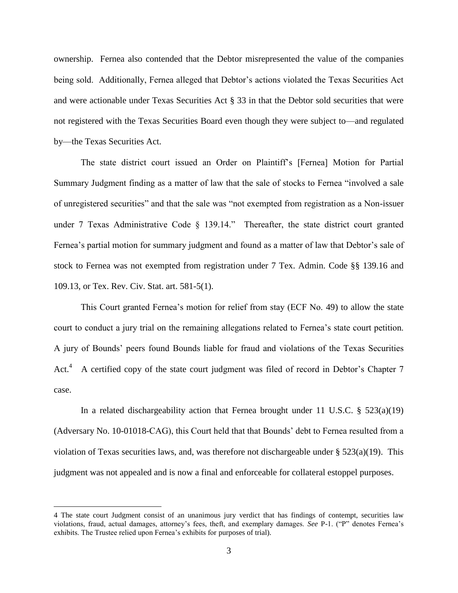ownership. Fernea also contended that the Debtor misrepresented the value of the companies being sold. Additionally, Fernea alleged that Debtor's actions violated the Texas Securities Act and were actionable under Texas Securities Act § 33 in that the Debtor sold securities that were not registered with the Texas Securities Board even though they were subject to—and regulated by—the Texas Securities Act.

The state district court issued an Order on Plaintiff's [Fernea] Motion for Partial Summary Judgment finding as a matter of law that the sale of stocks to Fernea "involved a sale of unregistered securities" and that the sale was "not exempted from registration as a Non-issuer under 7 Texas Administrative Code § 139.14." Thereafter, the state district court granted Fernea's partial motion for summary judgment and found as a matter of law that Debtor's sale of stock to Fernea was not exempted from registration under 7 Tex. Admin. Code §§ 139.16 and 109.13, or Tex. Rev. Civ. Stat. art. 581-5(1).

This Court granted Fernea's motion for relief from stay (ECF No. 49) to allow the state court to conduct a jury trial on the remaining allegations related to Fernea's state court petition. A jury of Bounds' peers found Bounds liable for fraud and violations of the Texas Securities Act.<sup>4</sup> A certified copy of the state court judgment was filed of record in Debtor's Chapter 7 case.

In a related dischargeability action that Fernea brought under 11 U.S.C. § 523(a)(19) (Adversary No. 10-01018-CAG), this Court held that that Bounds' debt to Fernea resulted from a violation of Texas securities laws, and, was therefore not dischargeable under  $\S 523(a)(19)$ . This judgment was not appealed and is now a final and enforceable for collateral estoppel purposes.

<sup>4</sup> The state court Judgment consist of an unanimous jury verdict that has findings of contempt, securities law violations, fraud, actual damages, attorney's fees, theft, and exemplary damages. *See* P-1. ("P" denotes Fernea's exhibits. The Trustee relied upon Fernea's exhibits for purposes of trial).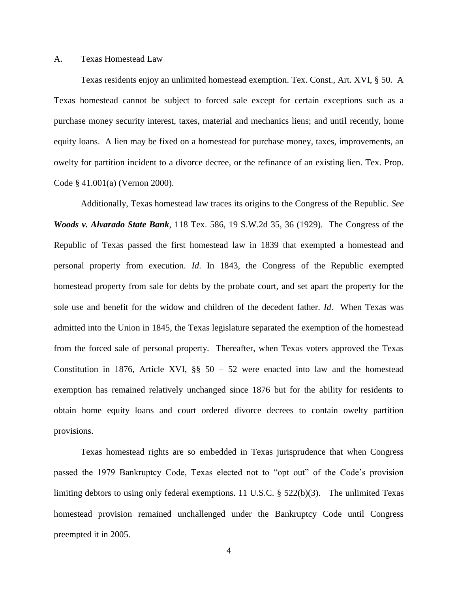#### A. Texas Homestead Law

Texas residents enjoy an unlimited homestead exemption. Tex. Const., Art. XVI, § 50. A Texas homestead cannot be subject to forced sale except for certain exceptions such as a purchase money security interest, taxes, material and mechanics liens; and until recently, home equity loans. A lien may be fixed on a homestead for purchase money, taxes, improvements, an owelty for partition incident to a divorce decree, or the refinance of an existing lien. Tex. Prop. Code § 41.001(a) (Vernon 2000).

Additionally, Texas homestead law traces its origins to the Congress of the Republic. *See Woods v. Alvarado State Bank*, 118 Tex. 586, 19 S.W.2d 35, 36 (1929). The Congress of the Republic of Texas passed the first homestead law in 1839 that exempted a homestead and personal property from execution. *Id*. In 1843, the Congress of the Republic exempted homestead property from sale for debts by the probate court, and set apart the property for the sole use and benefit for the widow and children of the decedent father. *Id*. When Texas was admitted into the Union in 1845, the Texas legislature separated the exemption of the homestead from the forced sale of personal property. Thereafter, when Texas voters approved the Texas Constitution in 1876, Article XVI,  $\S$  $\S$  50 – 52 were enacted into law and the homestead exemption has remained relatively unchanged since 1876 but for the ability for residents to obtain home equity loans and court ordered divorce decrees to contain owelty partition provisions.

Texas homestead rights are so embedded in Texas jurisprudence that when Congress passed the 1979 Bankruptcy Code, Texas elected not to "opt out" of the Code's provision limiting debtors to using only federal exemptions. 11 U.S.C. § 522(b)(3). The unlimited Texas homestead provision remained unchallenged under the Bankruptcy Code until Congress preempted it in 2005.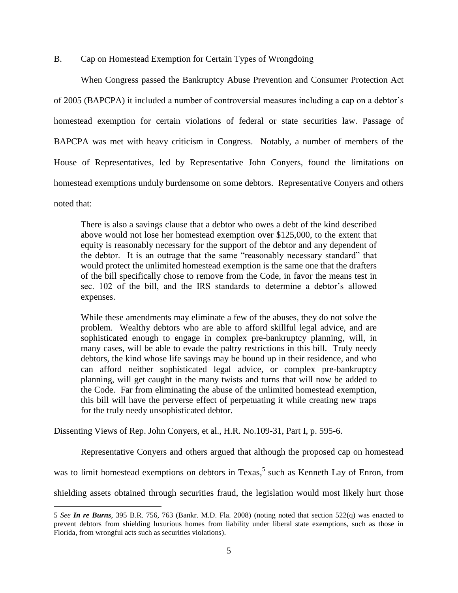## B. Cap on Homestead Exemption for Certain Types of Wrongdoing

When Congress passed the Bankruptcy Abuse Prevention and Consumer Protection Act of 2005 (BAPCPA) it included a number of controversial measures including a cap on a debtor's homestead exemption for certain violations of federal or state securities law. Passage of BAPCPA was met with heavy criticism in Congress. Notably, a number of members of the House of Representatives, led by Representative John Conyers, found the limitations on homestead exemptions unduly burdensome on some debtors. Representative Conyers and others noted that:

There is also a savings clause that a debtor who owes a debt of the kind described above would not lose her homestead exemption over \$125,000, to the extent that equity is reasonably necessary for the support of the debtor and any dependent of the debtor. It is an outrage that the same "reasonably necessary standard" that would protect the unlimited homestead exemption is the same one that the drafters of the bill specifically chose to remove from the Code, in favor the means test in sec. 102 of the bill, and the IRS standards to determine a debtor's allowed expenses.

While these amendments may eliminate a few of the abuses, they do not solve the problem. Wealthy debtors who are able to afford skillful legal advice, and are sophisticated enough to engage in complex pre-bankruptcy planning, will, in many cases, will be able to evade the paltry restrictions in this bill. Truly needy debtors, the kind whose life savings may be bound up in their residence, and who can afford neither sophisticated legal advice, or complex pre-bankruptcy planning, will get caught in the many twists and turns that will now be added to the Code. Far from eliminating the abuse of the unlimited homestead exemption, this bill will have the perverse effect of perpetuating it while creating new traps for the truly needy unsophisticated debtor.

Dissenting Views of Rep. John Conyers, et al., H.R. No.109-31, Part I, p. 595-6.

 $\overline{a}$ 

Representative Conyers and others argued that although the proposed cap on homestead was to limit homestead exemptions on debtors in Texas,<sup>5</sup> such as Kenneth Lay of Enron, from shielding assets obtained through securities fraud, the legislation would most likely hurt those

<sup>5</sup> *See In re Burns*, 395 B.R. 756, 763 (Bankr. M.D. Fla. 2008) (noting noted that section 522(q) was enacted to prevent debtors from shielding luxurious homes from liability under liberal state exemptions, such as those in Florida, from wrongful acts such as securities violations).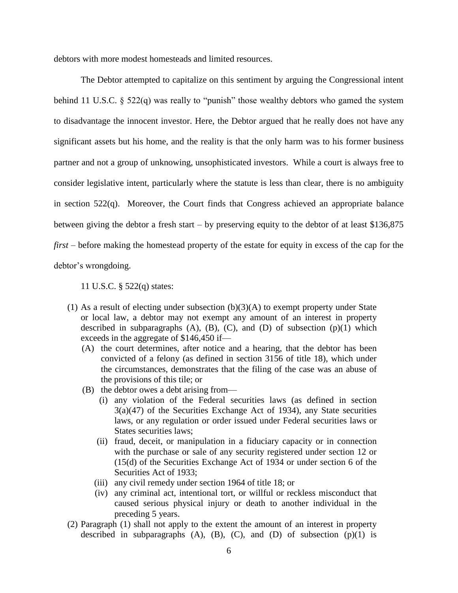debtors with more modest homesteads and limited resources.

The Debtor attempted to capitalize on this sentiment by arguing the Congressional intent behind 11 U.S.C. § 522(q) was really to "punish" those wealthy debtors who gamed the system to disadvantage the innocent investor. Here, the Debtor argued that he really does not have any significant assets but his home, and the reality is that the only harm was to his former business partner and not a group of unknowing, unsophisticated investors. While a court is always free to consider legislative intent, particularly where the statute is less than clear, there is no ambiguity in section 522(q). Moreover, the Court finds that Congress achieved an appropriate balance between giving the debtor a fresh start – by preserving equity to the debtor of at least \$136,875 *first* – before making the homestead property of the estate for equity in excess of the cap for the debtor's wrongdoing.

11 U.S.C. § 522(q) states:

- (1) As a result of electing under subsection  $(b)(3)(A)$  to exempt property under State or local law, a debtor may not exempt any amount of an interest in property described in subparagraphs  $(A)$ ,  $(B)$ ,  $(C)$ , and  $(D)$  of subsection  $(p)(1)$  which exceeds in the aggregate of \$146,450 if—
	- (A) the court determines, after notice and a hearing, that the debtor has been convicted of a felony (as defined in section 3156 of title 18), which under the circumstances, demonstrates that the filing of the case was an abuse of the provisions of this tile; or
	- (B) the debtor owes a debt arising from—
		- (i) any violation of the Federal securities laws (as defined in section  $3(a)(47)$  of the Securities Exchange Act of 1934), any State securities laws, or any regulation or order issued under Federal securities laws or States securities laws;
		- (ii) fraud, deceit, or manipulation in a fiduciary capacity or in connection with the purchase or sale of any security registered under section 12 or (15(d) of the Securities Exchange Act of 1934 or under section 6 of the Securities Act of 1933;
		- (iii) any civil remedy under section 1964 of title 18; or
		- (iv) any criminal act, intentional tort, or willful or reckless misconduct that caused serious physical injury or death to another individual in the preceding 5 years.
- (2) Paragraph (1) shall not apply to the extent the amount of an interest in property described in subparagraphs  $(A)$ ,  $(B)$ ,  $(C)$ , and  $(D)$  of subsection  $(p)(1)$  is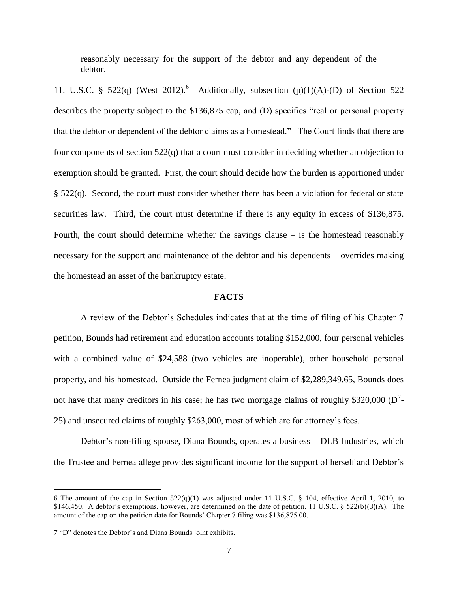reasonably necessary for the support of the debtor and any dependent of the debtor.

11. U.S.C. § 522(q) (West 2012).<sup>6</sup> Additionally, subsection  $(p)(1)(A)-D$  of Section 522 describes the property subject to the \$136,875 cap, and (D) specifies "real or personal property that the debtor or dependent of the debtor claims as a homestead." The Court finds that there are four components of section 522(q) that a court must consider in deciding whether an objection to exemption should be granted. First, the court should decide how the burden is apportioned under § 522(q). Second, the court must consider whether there has been a violation for federal or state securities law. Third, the court must determine if there is any equity in excess of \$136,875. Fourth, the court should determine whether the savings clause  $-$  is the homestead reasonably necessary for the support and maintenance of the debtor and his dependents – overrides making the homestead an asset of the bankruptcy estate.

## **FACTS**

A review of the Debtor's Schedules indicates that at the time of filing of his Chapter 7 petition, Bounds had retirement and education accounts totaling \$152,000, four personal vehicles with a combined value of \$24,588 (two vehicles are inoperable), other household personal property, and his homestead. Outside the Fernea judgment claim of \$2,289,349.65, Bounds does not have that many creditors in his case; he has two mortgage claims of roughly \$320,000 ( $D^7$ -25) and unsecured claims of roughly \$263,000, most of which are for attorney's fees.

Debtor's non-filing spouse, Diana Bounds, operates a business – DLB Industries, which the Trustee and Fernea allege provides significant income for the support of herself and Debtor's

<sup>6</sup> The amount of the cap in Section  $522(q)(1)$  was adjusted under 11 U.S.C. § 104, effective April 1, 2010, to \$146,450. A debtor's exemptions, however, are determined on the date of petition. 11 U.S.C. § 522(b)(3)(A). The amount of the cap on the petition date for Bounds' Chapter 7 filing was \$136,875.00.

<sup>7</sup> "D" denotes the Debtor's and Diana Bounds joint exhibits.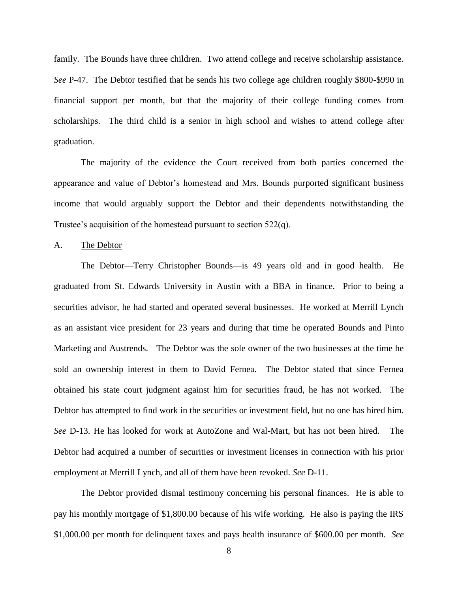family. The Bounds have three children. Two attend college and receive scholarship assistance. *See* P-47. The Debtor testified that he sends his two college age children roughly \$800-\$990 in financial support per month, but that the majority of their college funding comes from scholarships. The third child is a senior in high school and wishes to attend college after graduation.

The majority of the evidence the Court received from both parties concerned the appearance and value of Debtor's homestead and Mrs. Bounds purported significant business income that would arguably support the Debtor and their dependents notwithstanding the Trustee's acquisition of the homestead pursuant to section 522(q).

A. The Debtor

The Debtor—Terry Christopher Bounds—is 49 years old and in good health. He graduated from St. Edwards University in Austin with a BBA in finance. Prior to being a securities advisor, he had started and operated several businesses. He worked at Merrill Lynch as an assistant vice president for 23 years and during that time he operated Bounds and Pinto Marketing and Austrends. The Debtor was the sole owner of the two businesses at the time he sold an ownership interest in them to David Fernea. The Debtor stated that since Fernea obtained his state court judgment against him for securities fraud, he has not worked. The Debtor has attempted to find work in the securities or investment field, but no one has hired him. *See* D-13. He has looked for work at AutoZone and Wal-Mart, but has not been hired. The Debtor had acquired a number of securities or investment licenses in connection with his prior employment at Merrill Lynch, and all of them have been revoked. *See* D-11.

The Debtor provided dismal testimony concerning his personal finances. He is able to pay his monthly mortgage of \$1,800.00 because of his wife working. He also is paying the IRS \$1,000.00 per month for delinquent taxes and pays health insurance of \$600.00 per month. *See*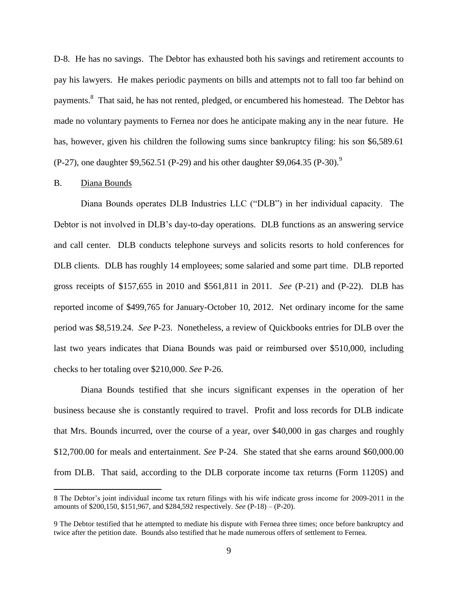D-8. He has no savings. The Debtor has exhausted both his savings and retirement accounts to pay his lawyers. He makes periodic payments on bills and attempts not to fall too far behind on payments.<sup>8</sup> That said, he has not rented, pledged, or encumbered his homestead. The Debtor has made no voluntary payments to Fernea nor does he anticipate making any in the near future. He has, however, given his children the following sums since bankruptcy filing: his son \$6,589.61 (P-27), one daughter \$9,562.51 (P-29) and his other daughter \$9,064.35 (P-30).<sup>9</sup>

#### B. Diana Bounds

 $\overline{a}$ 

Diana Bounds operates DLB Industries LLC ("DLB") in her individual capacity. The Debtor is not involved in DLB's day-to-day operations. DLB functions as an answering service and call center. DLB conducts telephone surveys and solicits resorts to hold conferences for DLB clients. DLB has roughly 14 employees; some salaried and some part time. DLB reported gross receipts of \$157,655 in 2010 and \$561,811 in 2011. *See* (P-21) and (P-22). DLB has reported income of \$499,765 for January-October 10, 2012. Net ordinary income for the same period was \$8,519.24. *See* P-23. Nonetheless, a review of Quickbooks entries for DLB over the last two years indicates that Diana Bounds was paid or reimbursed over \$510,000, including checks to her totaling over \$210,000. *See* P-26.

Diana Bounds testified that she incurs significant expenses in the operation of her business because she is constantly required to travel. Profit and loss records for DLB indicate that Mrs. Bounds incurred, over the course of a year, over \$40,000 in gas charges and roughly \$12,700.00 for meals and entertainment. *See* P-24. She stated that she earns around \$60,000.00 from DLB. That said, according to the DLB corporate income tax returns (Form 1120S) and

<sup>8</sup> The Debtor's joint individual income tax return filings with his wife indicate gross income for 2009-2011 in the amounts of \$200,150, \$151,967, and \$284,592 respectively. *See* (P-18) – (P-20).

<sup>9</sup> The Debtor testified that he attempted to mediate his dispute with Fernea three times; once before bankruptcy and twice after the petition date. Bounds also testified that he made numerous offers of settlement to Fernea.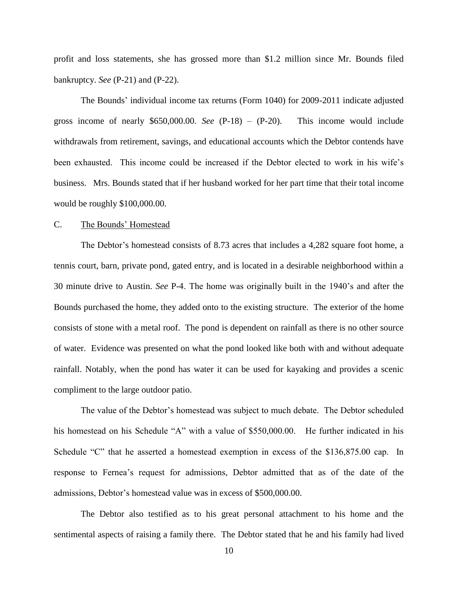profit and loss statements, she has grossed more than \$1.2 million since Mr. Bounds filed bankruptcy. *See* (P-21) and (P-22).

The Bounds' individual income tax returns (Form 1040) for 2009-2011 indicate adjusted gross income of nearly \$650,000.00. *See* (P-18) – (P-20). This income would include withdrawals from retirement, savings, and educational accounts which the Debtor contends have been exhausted. This income could be increased if the Debtor elected to work in his wife's business. Mrs. Bounds stated that if her husband worked for her part time that their total income would be roughly \$100,000.00.

#### C. The Bounds' Homestead

The Debtor's homestead consists of 8.73 acres that includes a 4,282 square foot home, a tennis court, barn, private pond, gated entry, and is located in a desirable neighborhood within a 30 minute drive to Austin. *See* P-4. The home was originally built in the 1940's and after the Bounds purchased the home, they added onto to the existing structure. The exterior of the home consists of stone with a metal roof. The pond is dependent on rainfall as there is no other source of water. Evidence was presented on what the pond looked like both with and without adequate rainfall. Notably, when the pond has water it can be used for kayaking and provides a scenic compliment to the large outdoor patio.

The value of the Debtor's homestead was subject to much debate. The Debtor scheduled his homestead on his Schedule "A" with a value of \$550,000.00. He further indicated in his Schedule "C" that he asserted a homestead exemption in excess of the \$136,875.00 cap. In response to Fernea's request for admissions, Debtor admitted that as of the date of the admissions, Debtor's homestead value was in excess of \$500,000.00.

The Debtor also testified as to his great personal attachment to his home and the sentimental aspects of raising a family there. The Debtor stated that he and his family had lived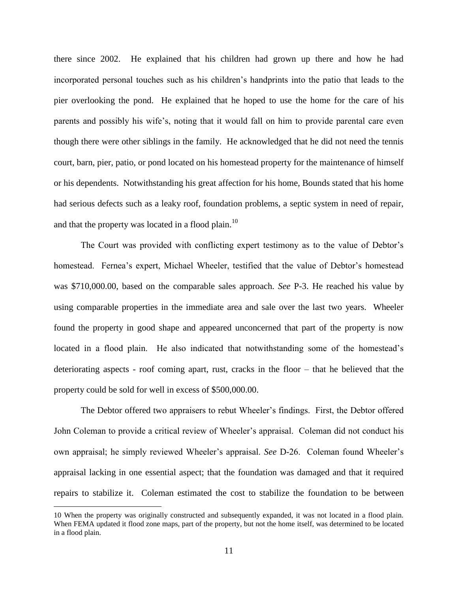there since 2002. He explained that his children had grown up there and how he had incorporated personal touches such as his children's handprints into the patio that leads to the pier overlooking the pond. He explained that he hoped to use the home for the care of his parents and possibly his wife's, noting that it would fall on him to provide parental care even though there were other siblings in the family. He acknowledged that he did not need the tennis court, barn, pier, patio, or pond located on his homestead property for the maintenance of himself or his dependents. Notwithstanding his great affection for his home, Bounds stated that his home had serious defects such as a leaky roof, foundation problems, a septic system in need of repair, and that the property was located in a flood plain.<sup>10</sup>

The Court was provided with conflicting expert testimony as to the value of Debtor's homestead. Fernea's expert, Michael Wheeler, testified that the value of Debtor's homestead was \$710,000.00, based on the comparable sales approach. *See* P-3. He reached his value by using comparable properties in the immediate area and sale over the last two years. Wheeler found the property in good shape and appeared unconcerned that part of the property is now located in a flood plain. He also indicated that notwithstanding some of the homestead's deteriorating aspects - roof coming apart, rust, cracks in the floor – that he believed that the property could be sold for well in excess of \$500,000.00.

The Debtor offered two appraisers to rebut Wheeler's findings. First, the Debtor offered John Coleman to provide a critical review of Wheeler's appraisal. Coleman did not conduct his own appraisal; he simply reviewed Wheeler's appraisal. *See* D-26. Coleman found Wheeler's appraisal lacking in one essential aspect; that the foundation was damaged and that it required repairs to stabilize it. Coleman estimated the cost to stabilize the foundation to be between

<sup>10</sup> When the property was originally constructed and subsequently expanded, it was not located in a flood plain. When FEMA updated it flood zone maps, part of the property, but not the home itself, was determined to be located in a flood plain.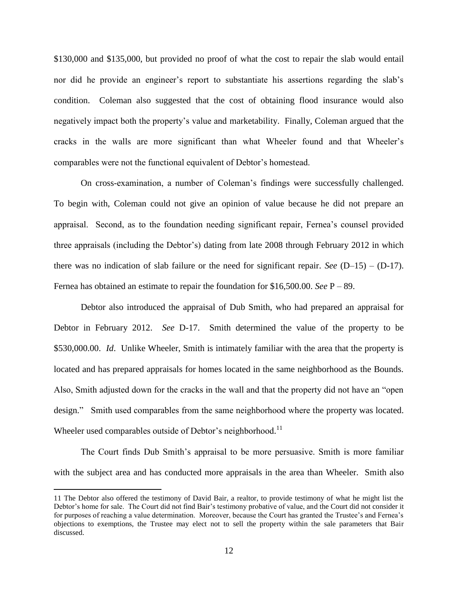\$130,000 and \$135,000, but provided no proof of what the cost to repair the slab would entail nor did he provide an engineer's report to substantiate his assertions regarding the slab's condition. Coleman also suggested that the cost of obtaining flood insurance would also negatively impact both the property's value and marketability. Finally, Coleman argued that the cracks in the walls are more significant than what Wheeler found and that Wheeler's comparables were not the functional equivalent of Debtor's homestead.

On cross-examination, a number of Coleman's findings were successfully challenged. To begin with, Coleman could not give an opinion of value because he did not prepare an appraisal. Second, as to the foundation needing significant repair, Fernea's counsel provided three appraisals (including the Debtor's) dating from late 2008 through February 2012 in which there was no indication of slab failure or the need for significant repair. *See* (D–15) – (D-17). Fernea has obtained an estimate to repair the foundation for \$16,500.00. *See* P – 89.

Debtor also introduced the appraisal of Dub Smith, who had prepared an appraisal for Debtor in February 2012. *See* D-17. Smith determined the value of the property to be \$530,000.00. *Id*. Unlike Wheeler, Smith is intimately familiar with the area that the property is located and has prepared appraisals for homes located in the same neighborhood as the Bounds. Also, Smith adjusted down for the cracks in the wall and that the property did not have an "open design." Smith used comparables from the same neighborhood where the property was located. Wheeler used comparables outside of Debtor's neighborhood.<sup>11</sup>

The Court finds Dub Smith's appraisal to be more persuasive. Smith is more familiar with the subject area and has conducted more appraisals in the area than Wheeler. Smith also

<sup>11</sup> The Debtor also offered the testimony of David Bair, a realtor, to provide testimony of what he might list the Debtor's home for sale. The Court did not find Bair's testimony probative of value, and the Court did not consider it for purposes of reaching a value determination. Moreover, because the Court has granted the Trustee's and Fernea's objections to exemptions, the Trustee may elect not to sell the property within the sale parameters that Bair discussed.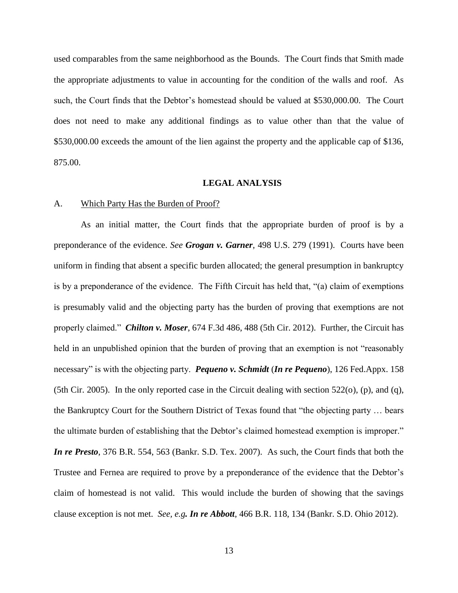used comparables from the same neighborhood as the Bounds. The Court finds that Smith made the appropriate adjustments to value in accounting for the condition of the walls and roof. As such, the Court finds that the Debtor's homestead should be valued at \$530,000.00. The Court does not need to make any additional findings as to value other than that the value of \$530,000.00 exceeds the amount of the lien against the property and the applicable cap of \$136, 875.00.

#### **LEGAL ANALYSIS**

## A. Which Party Has the Burden of Proof?

As an initial matter, the Court finds that the appropriate burden of proof is by a preponderance of the evidence. *See Grogan v. Garner*, 498 U.S. 279 (1991). Courts have been uniform in finding that absent a specific burden allocated; the general presumption in bankruptcy is by a preponderance of the evidence. The Fifth Circuit has held that, "(a) claim of exemptions is presumably valid and the objecting party has the burden of proving that exemptions are not properly claimed." *Chilton v. Moser*, 674 F.3d 486, 488 (5th Cir. 2012). Further, the Circuit has held in an unpublished opinion that the burden of proving that an exemption is not "reasonably" necessary" is with the objecting party. *Pequeno v. Schmidt* (*In re Pequeno*), 126 Fed.Appx. 158 (5th Cir. 2005). In the only reported case in the Circuit dealing with section  $522$ (o), (p), and (q), the Bankruptcy Court for the Southern District of Texas found that "the objecting party … bears the ultimate burden of establishing that the Debtor's claimed homestead exemption is improper." *In re Presto*, 376 B.R. 554, 563 (Bankr. S.D. Tex. 2007). As such, the Court finds that both the Trustee and Fernea are required to prove by a preponderance of the evidence that the Debtor's claim of homestead is not valid. This would include the burden of showing that the savings clause exception is not met. *See, e.g. In re Abbott*, 466 B.R. 118, 134 (Bankr. S.D. Ohio 2012).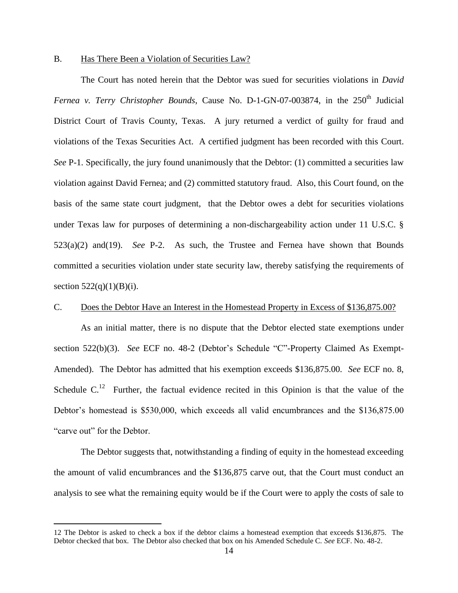#### B. Has There Been a Violation of Securities Law?

The Court has noted herein that the Debtor was sued for securities violations in *David Fernea v. Terry Christopher Bounds*, Cause No. D-1-GN-07-003874, in the 250<sup>th</sup> Judicial District Court of Travis County, Texas. A jury returned a verdict of guilty for fraud and violations of the Texas Securities Act. A certified judgment has been recorded with this Court. *See* P-1. Specifically, the jury found unanimously that the Debtor: (1) committed a securities law violation against David Fernea; and (2) committed statutory fraud. Also, this Court found, on the basis of the same state court judgment, that the Debtor owes a debt for securities violations under Texas law for purposes of determining a non-dischargeability action under 11 U.S.C. § 523(a)(2) and(19). *See* P-2. As such, the Trustee and Fernea have shown that Bounds committed a securities violation under state security law, thereby satisfying the requirements of section  $522(q)(1)(B)(i)$ .

#### C. Does the Debtor Have an Interest in the Homestead Property in Excess of \$136,875.00?

As an initial matter, there is no dispute that the Debtor elected state exemptions under section 522(b)(3). *See* ECF no. 48-2 (Debtor's Schedule "C"-Property Claimed As Exempt-Amended). The Debtor has admitted that his exemption exceeds \$136,875.00*. See* ECF no. 8, Schedule  $C<sup>12</sup>$  Further, the factual evidence recited in this Opinion is that the value of the Debtor's homestead is \$530,000, which exceeds all valid encumbrances and the \$136,875.00 "carve out" for the Debtor.

The Debtor suggests that, notwithstanding a finding of equity in the homestead exceeding the amount of valid encumbrances and the \$136,875 carve out, that the Court must conduct an analysis to see what the remaining equity would be if the Court were to apply the costs of sale to

<sup>12</sup> The Debtor is asked to check a box if the debtor claims a homestead exemption that exceeds \$136,875. The Debtor checked that box. The Debtor also checked that box on his Amended Schedule C. *See* ECF. No. 48-2.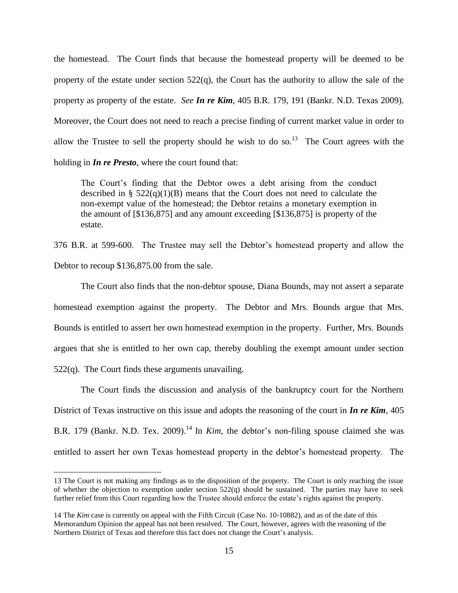the homestead. The Court finds that because the homestead property will be deemed to be property of the estate under section 522(q), the Court has the authority to allow the sale of the property as property of the estate. *See In re Kim*, 405 B.R. 179, 191 (Bankr. N.D. Texas 2009). Moreover, the Court does not need to reach a precise finding of current market value in order to allow the Trustee to sell the property should he wish to do so.<sup>13</sup> The Court agrees with the holding in *In re Presto*, where the court found that:

The Court's finding that the Debtor owes a debt arising from the conduct described in §  $522(q)(1)(B)$  means that the Court does not need to calculate the non-exempt value of the homestead; the Debtor retains a monetary exemption in the amount of [\$136,875] and any amount exceeding [\$136,875] is property of the estate.

376 B.R. at 599-600. The Trustee may sell the Debtor's homestead property and allow the Debtor to recoup \$136,875.00 from the sale.

The Court also finds that the non-debtor spouse, Diana Bounds, may not assert a separate homestead exemption against the property. The Debtor and Mrs. Bounds argue that Mrs. Bounds is entitled to assert her own homestead exemption in the property. Further, Mrs. Bounds argues that she is entitled to her own cap, thereby doubling the exempt amount under section  $522(q)$ . The Court finds these arguments unavailing.

The Court finds the discussion and analysis of the bankruptcy court for the Northern District of Texas instructive on this issue and adopts the reasoning of the court in *In re Kim*, 405 B.R. 179 (Bankr. N.D. Tex. 2009).<sup>14</sup> In *Kim*, the debtor's non-filing spouse claimed she was entitled to assert her own Texas homestead property in the debtor's homestead property. The

<sup>13</sup> The Court is not making any findings as to the disposition of the property. The Court is only reaching the issue of whether the objection to exemption under section  $522(q)$  should be sustained. The parties may have to seek further relief from this Court regarding how the Trustee should enforce the estate's rights against the property.

<sup>14</sup> The *Kim* case is currently on appeal with the Fifth Circuit (Case No. 10-10882), and as of the date of this Memorandum Opinion the appeal has not been resolved. The Court, however, agrees with the reasoning of the Northern District of Texas and therefore this fact does not change the Court's analysis.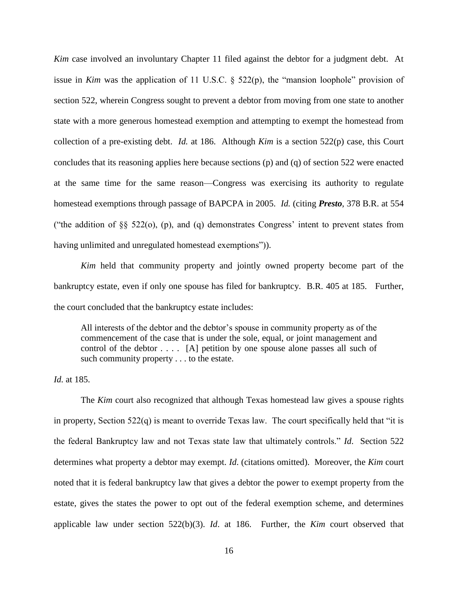*Kim* case involved an involuntary Chapter 11 filed against the debtor for a judgment debt. At issue in *Kim* was the application of 11 U.S.C. § 522(p), the "mansion loophole" provision of section 522, wherein Congress sought to prevent a debtor from moving from one state to another state with a more generous homestead exemption and attempting to exempt the homestead from collection of a pre-existing debt. *Id.* at 186. Although *Kim* is a section 522(p) case, this Court concludes that its reasoning applies here because sections (p) and (q) of section 522 were enacted at the same time for the same reason—Congress was exercising its authority to regulate homestead exemptions through passage of BAPCPA in 2005. *Id.* (citing *Presto*, 378 B.R. at 554 ("the addition of  $\S$ § 522(o), (p), and (q) demonstrates Congress' intent to prevent states from having unlimited and unregulated homestead exemptions")).

*Kim* held that community property and jointly owned property become part of the bankruptcy estate, even if only one spouse has filed for bankruptcy. B.R. 405 at 185. Further, the court concluded that the bankruptcy estate includes:

All interests of the debtor and the debtor's spouse in community property as of the commencement of the case that is under the sole, equal, or joint management and control of the debtor . . . . [A] petition by one spouse alone passes all such of such community property . . . to the estate.

*Id.* at 185.

The *Kim* court also recognized that although Texas homestead law gives a spouse rights in property, Section  $522(q)$  is meant to override Texas law. The court specifically held that "it is the federal Bankruptcy law and not Texas state law that ultimately controls." *Id*. Section 522 determines what property a debtor may exempt. *Id*. (citations omitted). Moreover, the *Kim* court noted that it is federal bankruptcy law that gives a debtor the power to exempt property from the estate, gives the states the power to opt out of the federal exemption scheme, and determines applicable law under section 522(b)(3). *Id*. at 186. Further, the *Kim* court observed that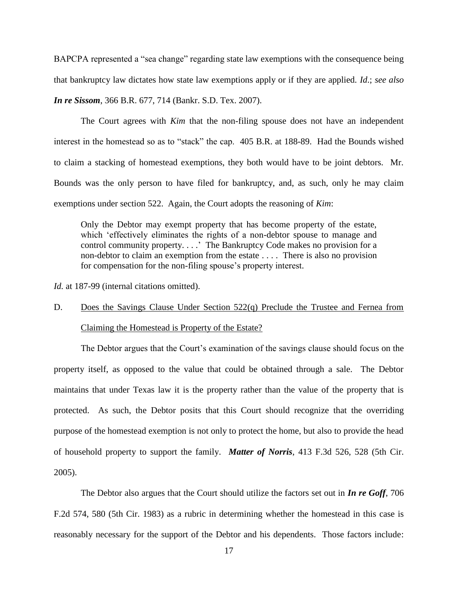BAPCPA represented a "sea change" regarding state law exemptions with the consequence being that bankruptcy law dictates how state law exemptions apply or if they are applied. *Id*.; *see also In re Sissom*, 366 B.R. 677, 714 (Bankr. S.D. Tex. 2007).

The Court agrees with *Kim* that the non-filing spouse does not have an independent interest in the homestead so as to "stack" the cap. 405 B.R. at 188-89. Had the Bounds wished to claim a stacking of homestead exemptions, they both would have to be joint debtors. Mr. Bounds was the only person to have filed for bankruptcy, and, as such, only he may claim exemptions under section 522. Again, the Court adopts the reasoning of *Kim*:

Only the Debtor may exempt property that has become property of the estate, which 'effectively eliminates the rights of a non-debtor spouse to manage and control community property. . . .' The Bankruptcy Code makes no provision for a non-debtor to claim an exemption from the estate . . . . There is also no provision for compensation for the non-filing spouse's property interest.

*Id.* at 187-99 (internal citations omitted).

# D. Does the Savings Clause Under Section 522(q) Preclude the Trustee and Fernea from Claiming the Homestead is Property of the Estate?

The Debtor argues that the Court's examination of the savings clause should focus on the property itself, as opposed to the value that could be obtained through a sale. The Debtor maintains that under Texas law it is the property rather than the value of the property that is protected. As such, the Debtor posits that this Court should recognize that the overriding purpose of the homestead exemption is not only to protect the home, but also to provide the head of household property to support the family. *Matter of Norris*, 413 F.3d 526, 528 (5th Cir. 2005).

The Debtor also argues that the Court should utilize the factors set out in *In re Goff*, 706 F.2d 574, 580 (5th Cir. 1983) as a rubric in determining whether the homestead in this case is reasonably necessary for the support of the Debtor and his dependents. Those factors include: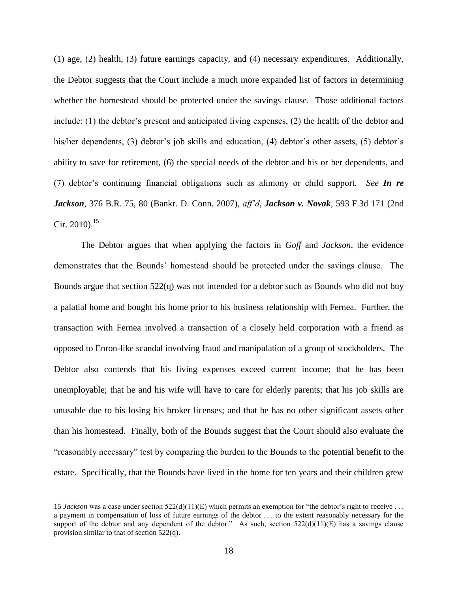(1) age, (2) health, (3) future earnings capacity, and (4) necessary expenditures. Additionally, the Debtor suggests that the Court include a much more expanded list of factors in determining whether the homestead should be protected under the savings clause. Those additional factors include: (1) the debtor's present and anticipated living expenses, (2) the health of the debtor and his/her dependents, (3) debtor's job skills and education, (4) debtor's other assets, (5) debtor's ability to save for retirement, (6) the special needs of the debtor and his or her dependents, and (7) debtor's continuing financial obligations such as alimony or child support. *See In re Jackson*, 376 B.R. 75, 80 (Bankr. D. Conn. 2007), *aff'd*, *Jackson v. Novak*, 593 F.3d 171 (2nd Cir. 2010).<sup>15</sup>

The Debtor argues that when applying the factors in *Goff* and *Jackson*, the evidence demonstrates that the Bounds' homestead should be protected under the savings clause. The Bounds argue that section  $522(q)$  was not intended for a debtor such as Bounds who did not buy a palatial home and bought his home prior to his business relationship with Fernea. Further, the transaction with Fernea involved a transaction of a closely held corporation with a friend as opposed to Enron-like scandal involving fraud and manipulation of a group of stockholders. The Debtor also contends that his living expenses exceed current income; that he has been unemployable; that he and his wife will have to care for elderly parents; that his job skills are unusable due to his losing his broker licenses; and that he has no other significant assets other than his homestead. Finally, both of the Bounds suggest that the Court should also evaluate the "reasonably necessary" test by comparing the burden to the Bounds to the potential benefit to the estate. Specifically, that the Bounds have lived in the home for ten years and their children grew

<sup>15</sup> *Jackson* was a case under section 522(d)(11)(E) which permits an exemption for "the debtor's right to receive . . . a payment in compensation of loss of future earnings of the debtor . . . to the extent reasonably necessary for the support of the debtor and any dependent of the debtor." As such, section  $522(d)(11)(E)$  has a savings clause provision similar to that of section 522(q).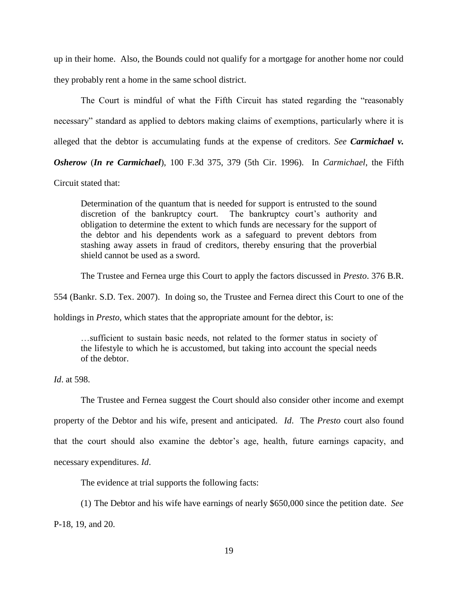up in their home. Also, the Bounds could not qualify for a mortgage for another home nor could they probably rent a home in the same school district.

The Court is mindful of what the Fifth Circuit has stated regarding the "reasonably necessary" standard as applied to debtors making claims of exemptions, particularly where it is alleged that the debtor is accumulating funds at the expense of creditors. *See Carmichael v.* 

*Osherow* (*In re Carmichael*), 100 F.3d 375, 379 (5th Cir. 1996). In *Carmichael*, the Fifth

Circuit stated that:

Determination of the quantum that is needed for support is entrusted to the sound discretion of the bankruptcy court. The bankruptcy court's authority and obligation to determine the extent to which funds are necessary for the support of the debtor and his dependents work as a safeguard to prevent debtors from stashing away assets in fraud of creditors, thereby ensuring that the proverbial shield cannot be used as a sword.

The Trustee and Fernea urge this Court to apply the factors discussed in *Presto*. 376 B.R.

554 (Bankr. S.D. Tex. 2007). In doing so, the Trustee and Fernea direct this Court to one of the

holdings in *Presto*, which states that the appropriate amount for the debtor, is:

…sufficient to sustain basic needs, not related to the former status in society of the lifestyle to which he is accustomed, but taking into account the special needs of the debtor.

*Id*. at 598.

The Trustee and Fernea suggest the Court should also consider other income and exempt property of the Debtor and his wife, present and anticipated. *Id*. The *Presto* court also found that the court should also examine the debtor's age, health, future earnings capacity, and necessary expenditures. *Id*.

The evidence at trial supports the following facts:

(1) The Debtor and his wife have earnings of nearly \$650,000 since the petition date. *See*

P-18, 19, and 20.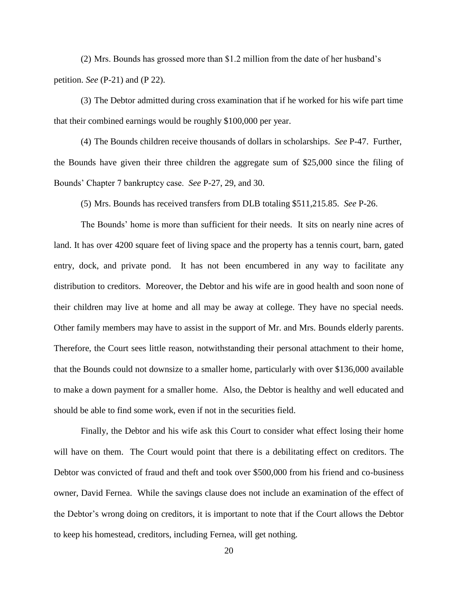(2) Mrs. Bounds has grossed more than \$1.2 million from the date of her husband's petition. *See* (P-21) and (P 22).

(3) The Debtor admitted during cross examination that if he worked for his wife part time that their combined earnings would be roughly \$100,000 per year.

(4) The Bounds children receive thousands of dollars in scholarships. *See* P-47. Further, the Bounds have given their three children the aggregate sum of \$25,000 since the filing of Bounds' Chapter 7 bankruptcy case. *See* P-27, 29, and 30.

(5) Mrs. Bounds has received transfers from DLB totaling \$511,215.85. *See* P-26.

The Bounds' home is more than sufficient for their needs. It sits on nearly nine acres of land. It has over 4200 square feet of living space and the property has a tennis court, barn, gated entry, dock, and private pond. It has not been encumbered in any way to facilitate any distribution to creditors. Moreover, the Debtor and his wife are in good health and soon none of their children may live at home and all may be away at college. They have no special needs. Other family members may have to assist in the support of Mr. and Mrs. Bounds elderly parents. Therefore, the Court sees little reason, notwithstanding their personal attachment to their home, that the Bounds could not downsize to a smaller home, particularly with over \$136,000 available to make a down payment for a smaller home. Also, the Debtor is healthy and well educated and should be able to find some work, even if not in the securities field.

Finally, the Debtor and his wife ask this Court to consider what effect losing their home will have on them. The Court would point that there is a debilitating effect on creditors. The Debtor was convicted of fraud and theft and took over \$500,000 from his friend and co-business owner, David Fernea. While the savings clause does not include an examination of the effect of the Debtor's wrong doing on creditors, it is important to note that if the Court allows the Debtor to keep his homestead, creditors, including Fernea, will get nothing.